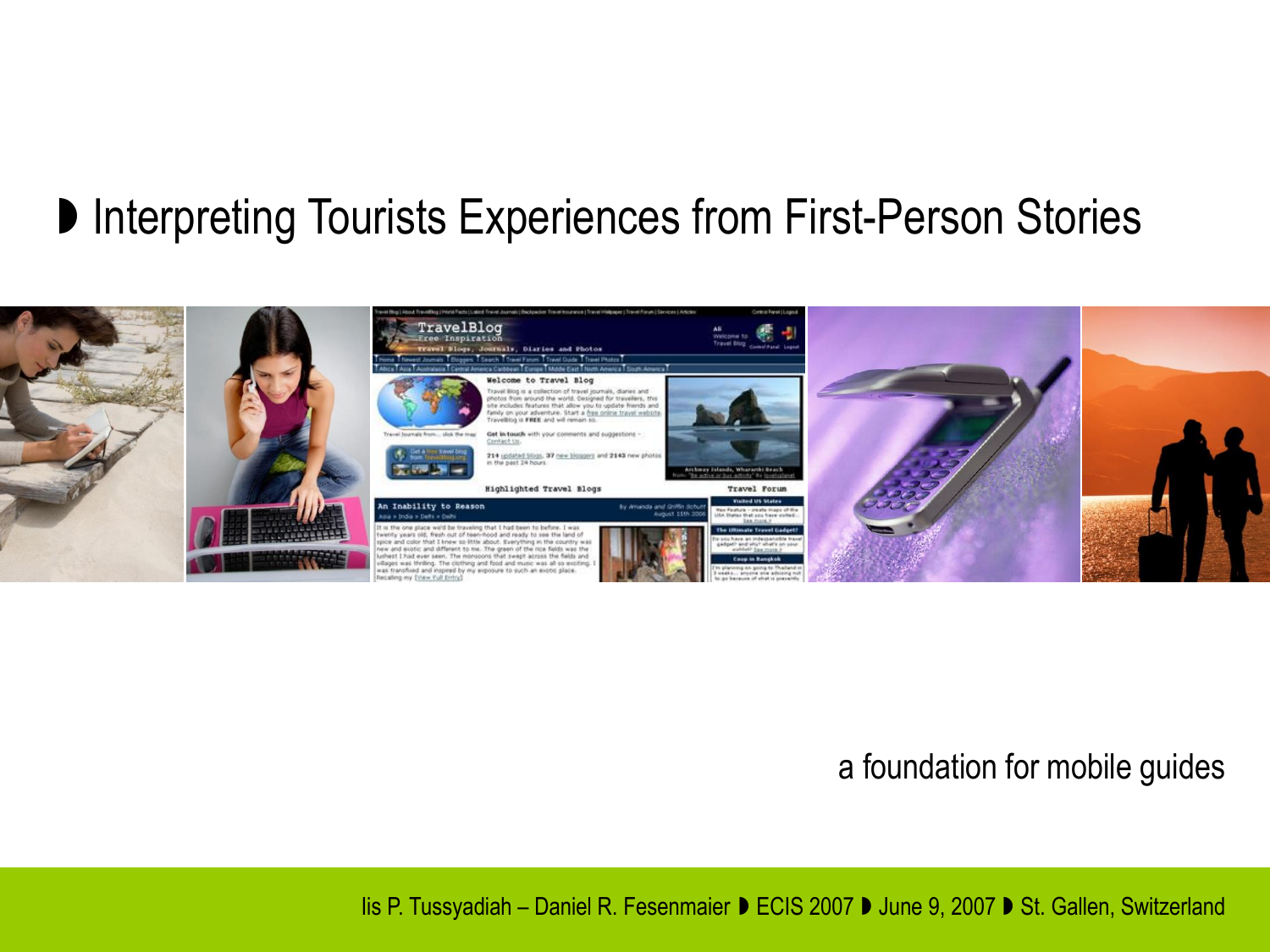### **D** Interpreting Tourists Experiences from First-Person Stories



#### a foundation for mobile guides

Iis P. Tussyadiah – Daniel R. Fesenmaier ▶ ECIS 2007 ▶ June 9, 2007 ▶ St. Gallen, Switzerland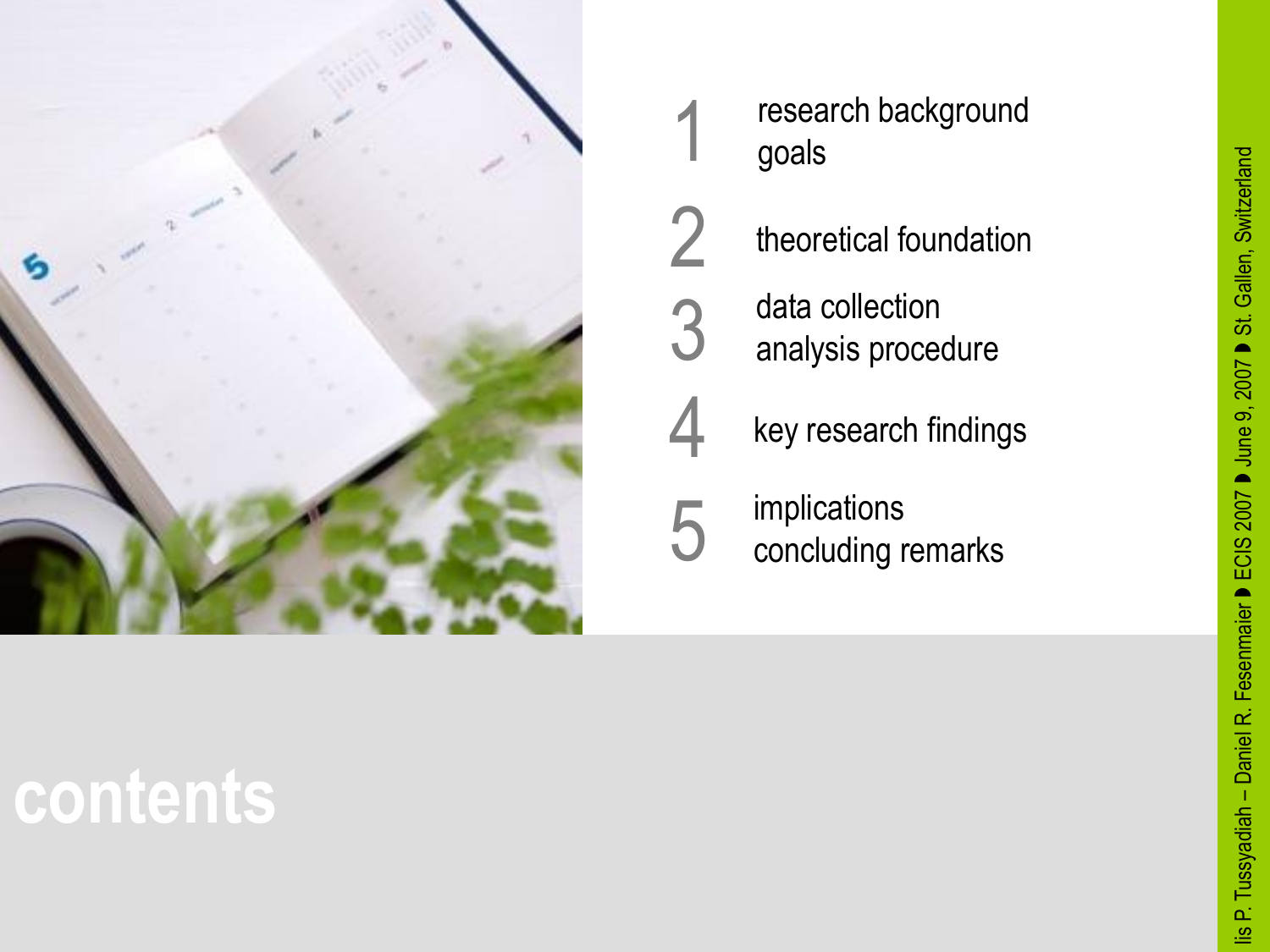

research background goals 1



data collection analysis procedure 3



implications concluding remarks 5

### **contents**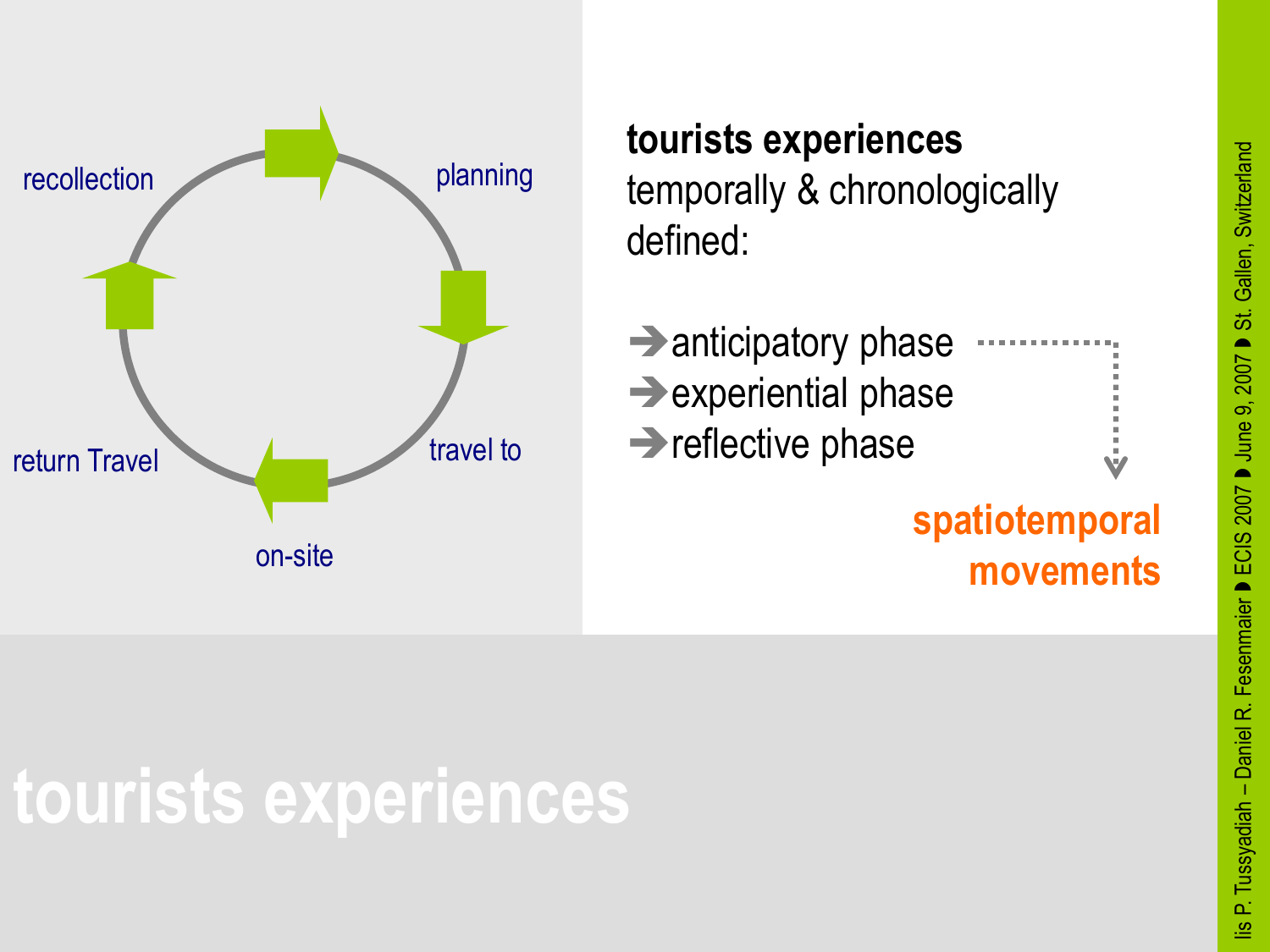

#### **tourists experiences** temporally & chronologically defined:

| $\rightarrow$ anticipatory phase | <b>.</b> |
|----------------------------------|----------|
|                                  |          |
| $\rightarrow$ experiential phase |          |
|                                  |          |
|                                  |          |
| $\rightarrow$ reflective phase   |          |
|                                  | Ŵ        |
|                                  |          |

#### **spatiotemporal movements**

### **tourists experiences**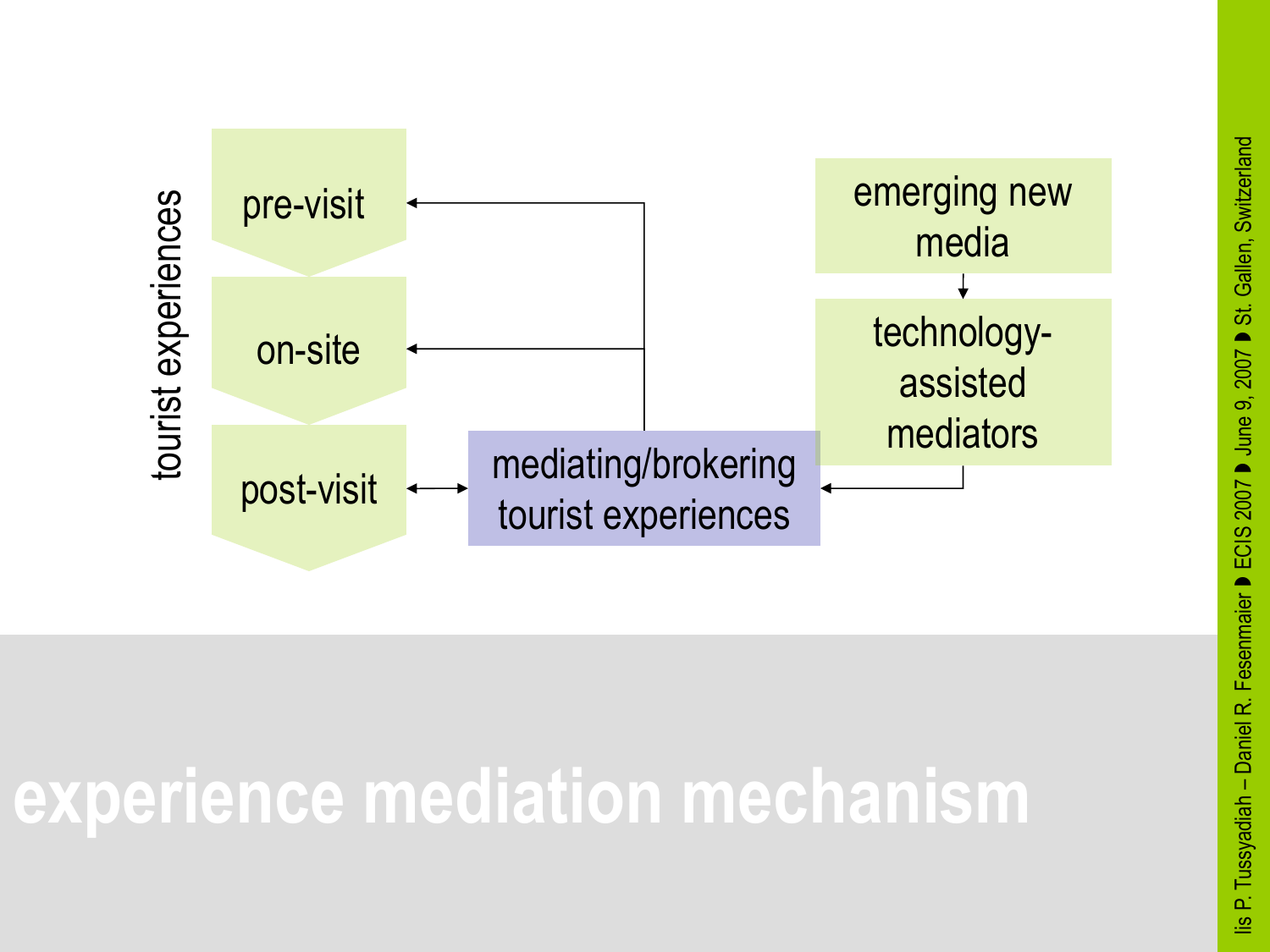

### **experience mediation mechanism**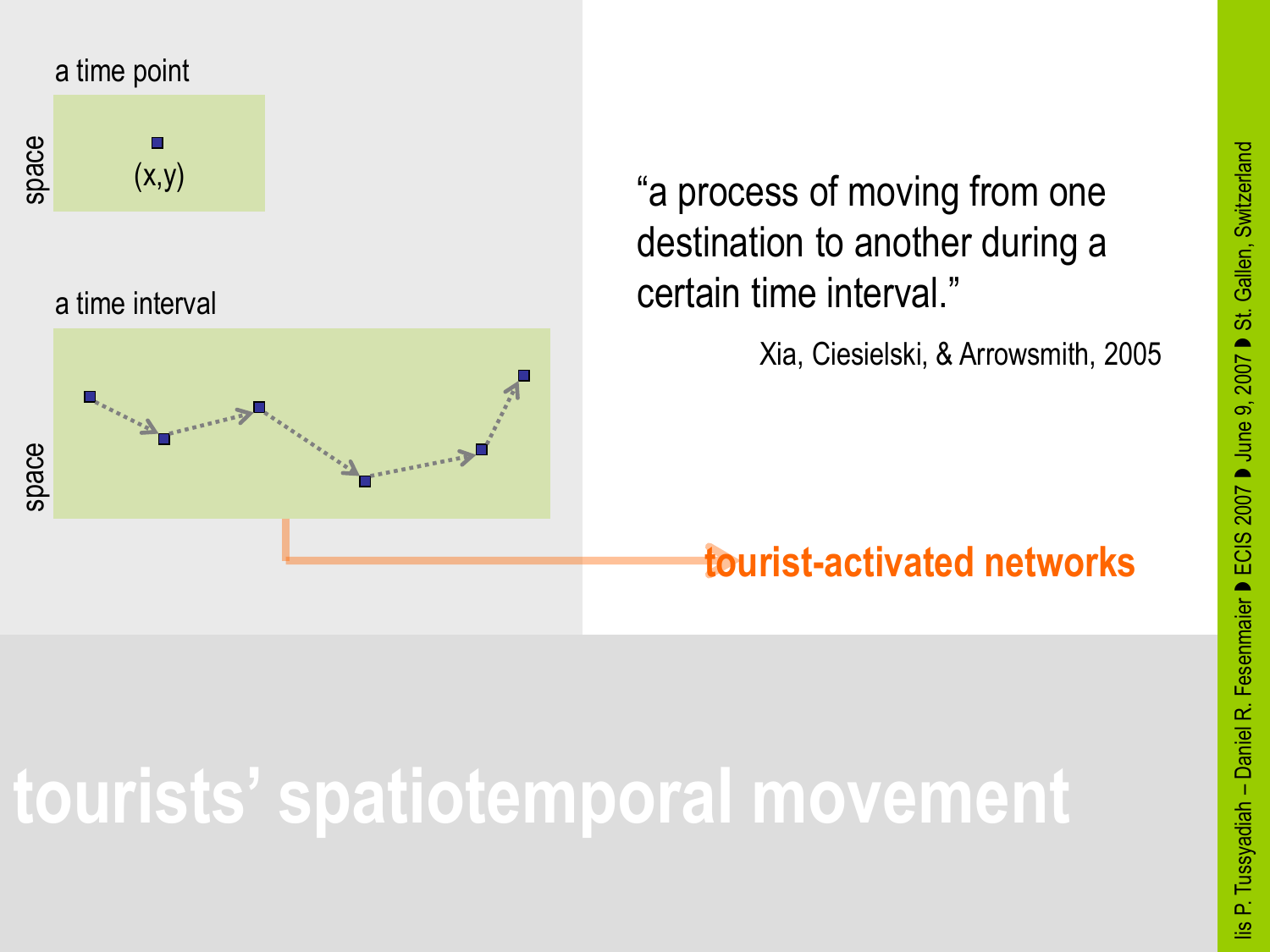

a time interval



"a process of moving from one destination to another during a certain time interval."

Xia, Ciesielski, & Arrowsmith, 2005

#### **tourist-activated networks**

### **tourists' spatiotemporal movement**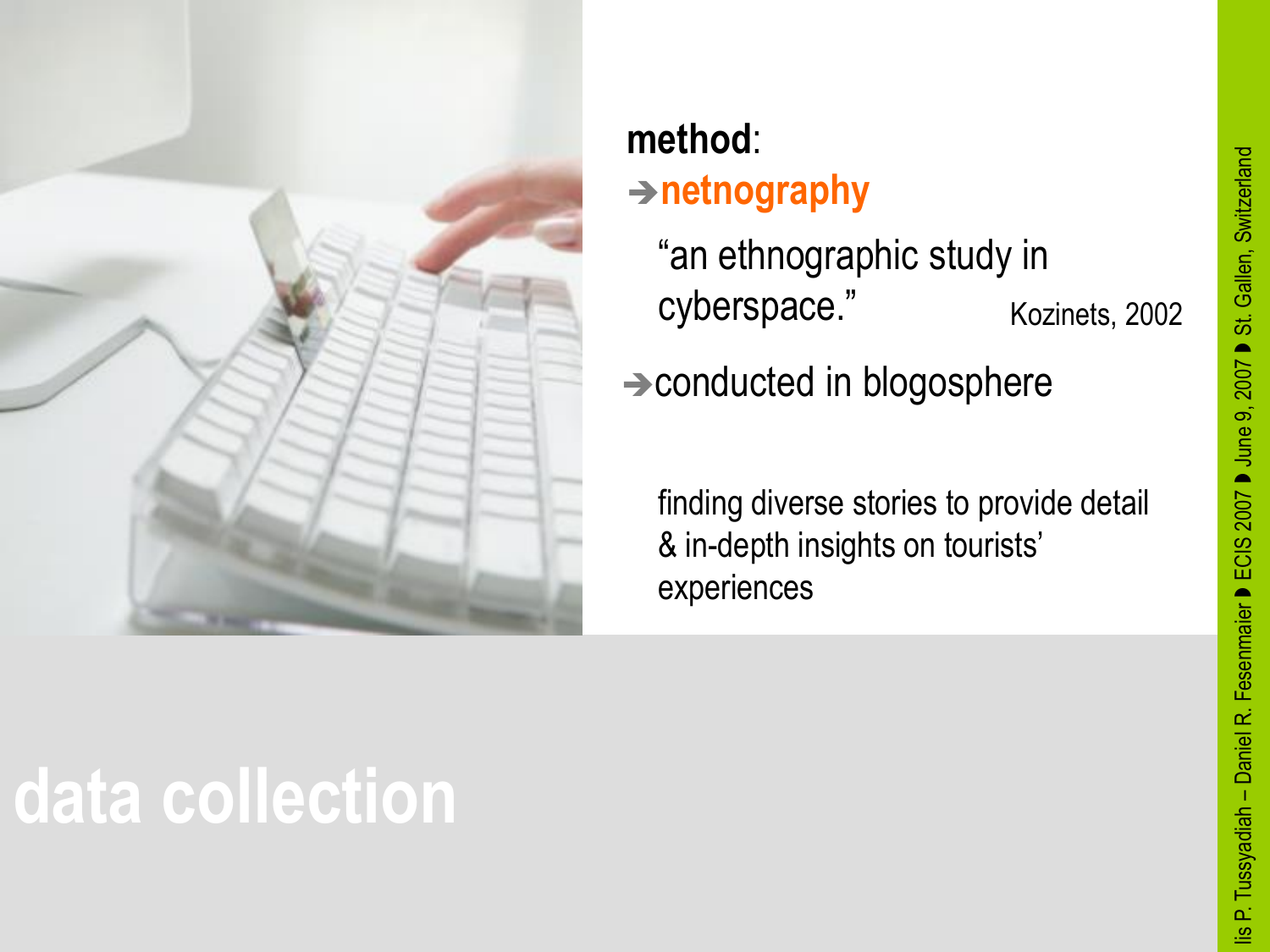

#### **method**: **netnography**

"an ethnographic study in cyberspace." Kozinets, 2002

 $\rightarrow$  conducted in blogosphere

finding diverse stories to provide detail & in-depth insights on tourists' experiences

## **data collection**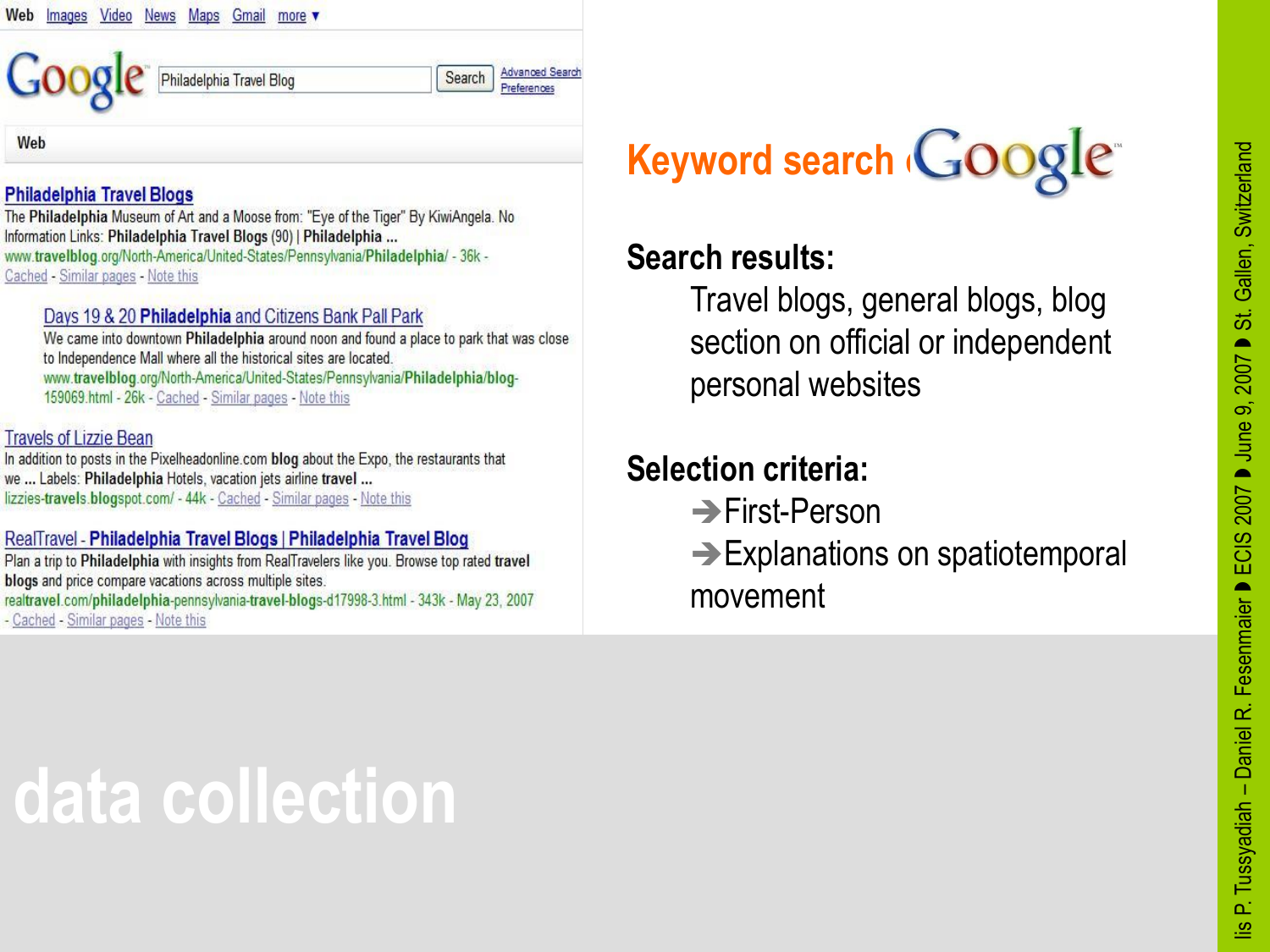

#### **Philadelphia Travel Blogs**

The Philadelphia Museum of Art and a Moose from: "Eye of the Tiger" By KiwiAngela. No Information Links: Philadelphia Travel Blogs (90) | Philadelphia ... www.travelblog.org/North-America/United-States/Pennsylvania/Philadelphia/ - 36k -Cached - Similar pages - Note this

#### Days 19 & 20 Philadelphia and Citizens Bank Pall Park

We came into downtown Philadelphia around noon and found a place to park that was close to Independence Mall where all the historical sites are located. www.travelblog.org/North-America/United-States/Pennsylvania/Philadelphia/blog-159069.html - 26k - Cached - Similar pages - Note this

#### **Travels of Lizzie Bean**

In addition to posts in the Pixelheadonline.com blog about the Expo, the restaurants that we ... Labels: Philadelphia Hotels, vacation jets airline travel ... lizzies-travels.blogspot.com/ - 44k - Cached - Similar pages - Note this

#### RealTravel - Philadelphia Travel Blogs | Philadelphia Travel Blog

Plan a trip to Philadelphia with insights from RealTravelers like you. Browse top rated travel blogs and price compare vacations across multiple sites. realtravel.com/philadelphia-pennsylvania-travel-blogs-d17998-3.html - 343k - May 23, 2007 - Cached - Similar pages - Note this

### **Keyword search GOOgle**

#### **Search results:**

Travel blogs, general blogs, blog section on official or independent personal websites

#### **Selection criteria:**

- **→ First-Person**
- **→ Explanations on spatiotemporal** movement

### **data collection**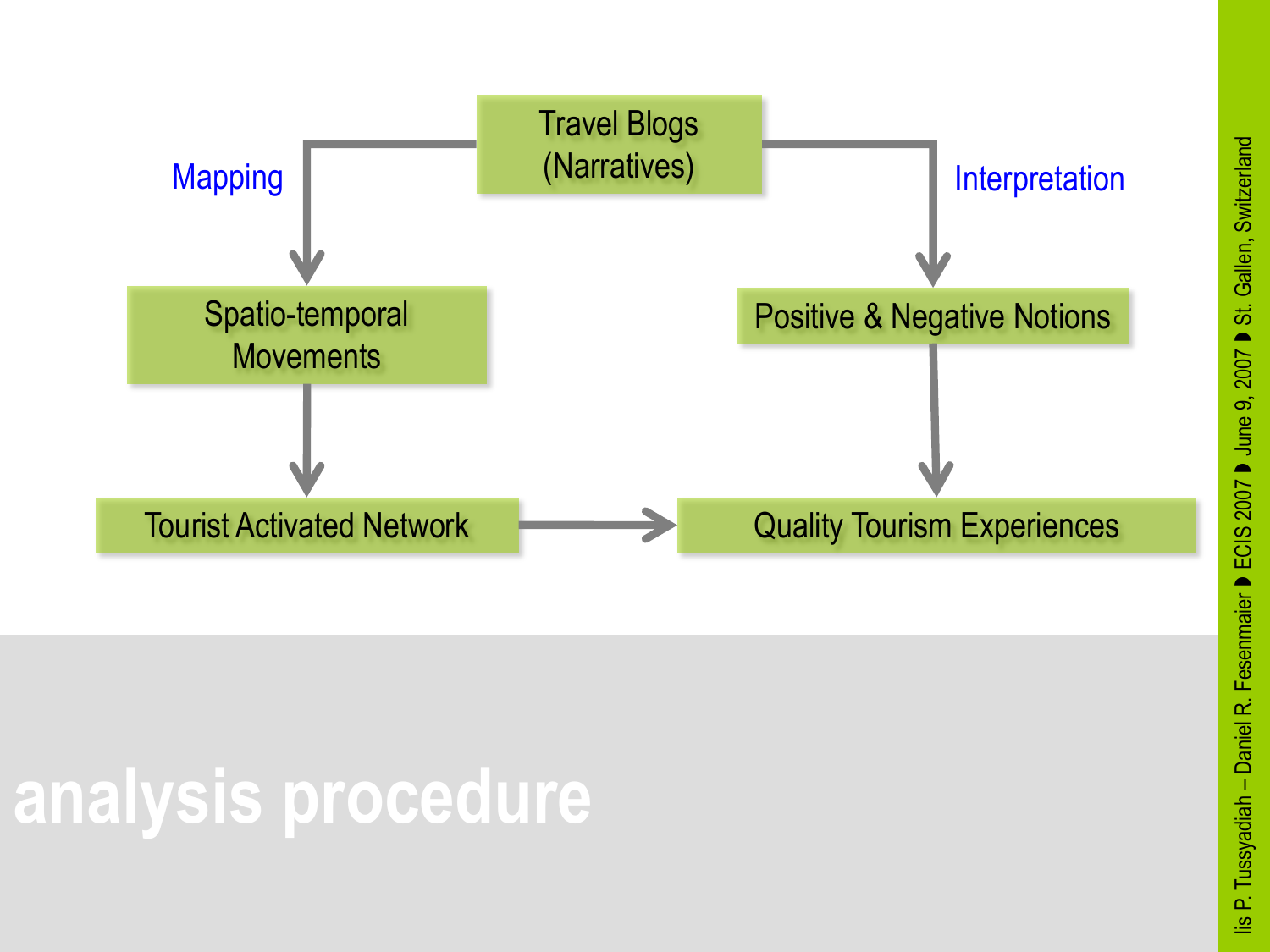

# **analysis procedure**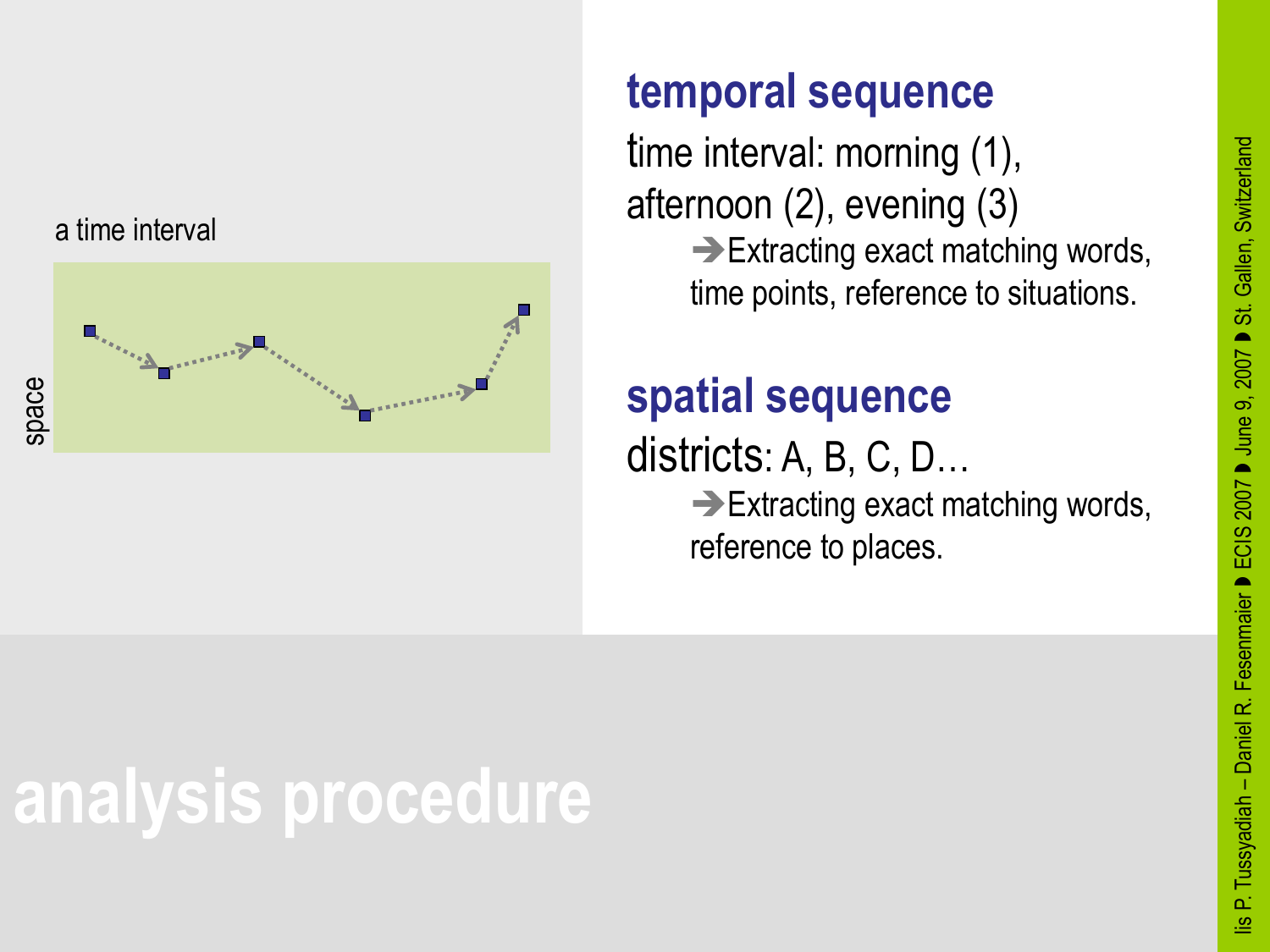

#### a time interval



#### **temporal sequence**

time interval: morning (1), afternoon (2), evening (3)  $\rightarrow$  Extracting exact matching words, time points, reference to situations.

#### **spatial sequence**

districts: A, B, C, D…  $\rightarrow$  Extracting exact matching words, reference to places.

## **analysis procedure**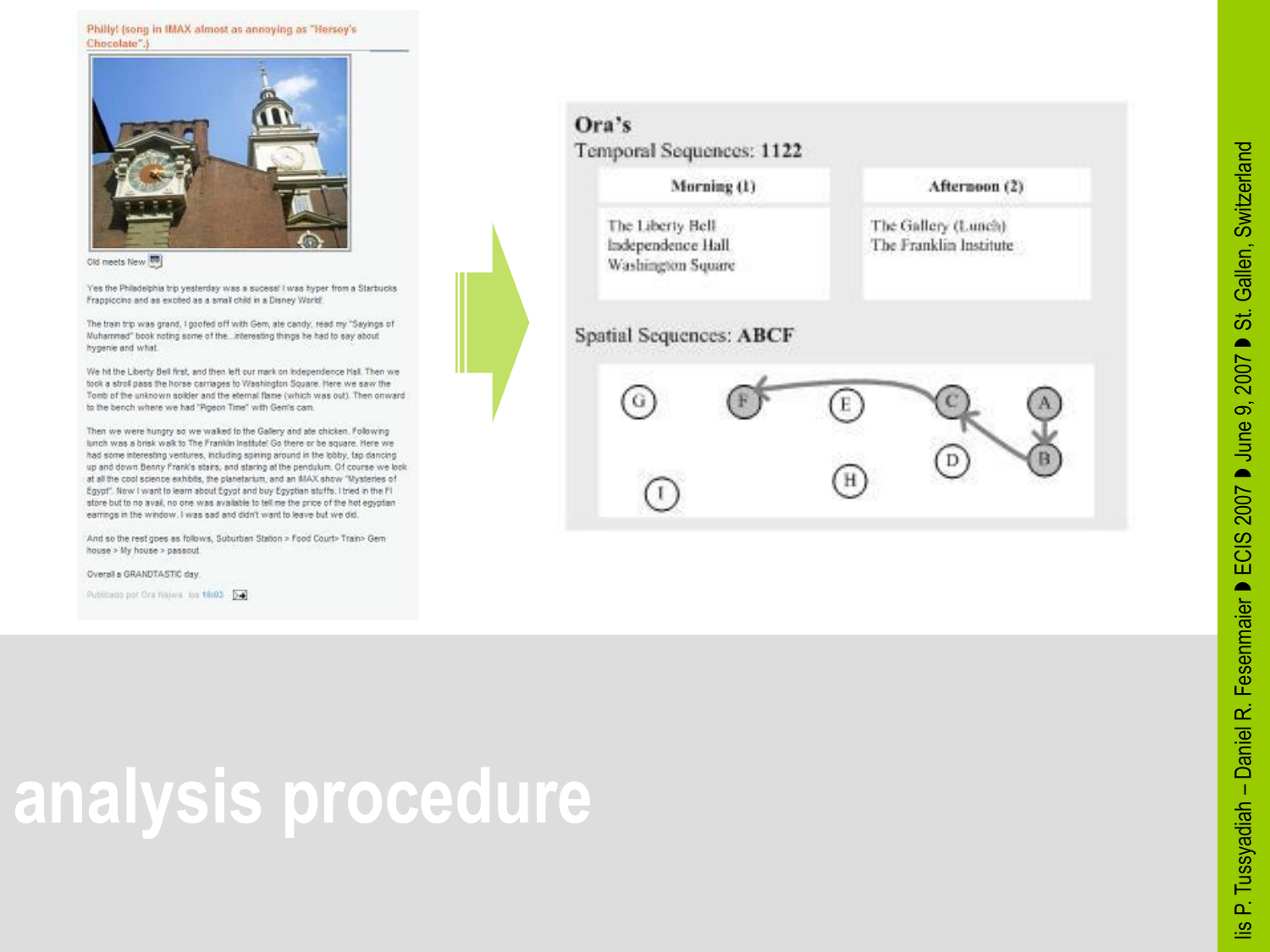

Old meets New 00

Yes the Philadelphia trip yesterday was a sucess! I was hyper from a Starbucks Frappiccino and as excited as a small child in a Disney World.

The train trip was grand, I goofed off with Gem, ale candy, read my "Sayings of Muhammad" book noting some of the...interesting things he had to say about hygenie and what.

We hit the Liberty Bell first, and then left our mark on Independence Hall. Then we took a stroll pass the horse carriages to Washington Square. Here we saw the Tomb of the unknown solider and the eternal flame (which was out). Then onward to the bench where we had "Pigeon Time" with Geni's cam.

Then we were hungry so we waked to the Gallery and ale chicken. Following lunch was a brisk walk to The Franklin Institute! Go there or be square. Here we had some interesting ventures, including spining around in the lobby, tap dancing up and down Benny Frank's stairs, and staring at the pendulum. Of course we look at all the cool science exhibits, the planetarium, and an MAX show "Mysteries of Egypt". Now I want to learn about Egypt and buy Egyptian stuffs. I tried in the PI store but to no avail, no one was available to tell me the price of the hot equotient earrings in the window. I was sad and didn't want to leave but we did.

And so the rest goes as follows, Suburban Station > Food Court> Train> Gem house > My house > passout.

Overall a GRANDTASTIC day.

Publicado por Ora Najwa iba 16:03 - D-1



### **analysis procedure**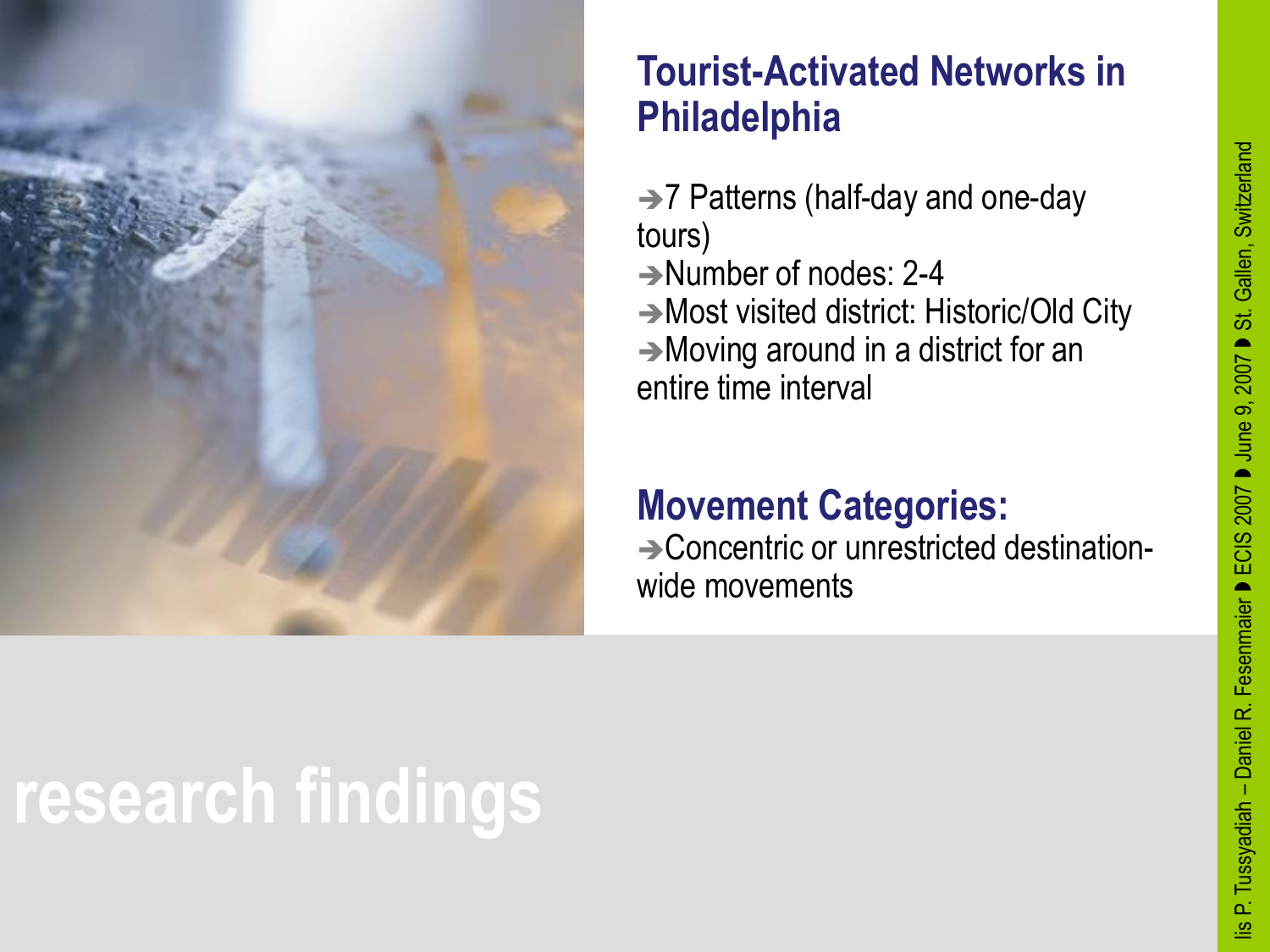

#### **Tourist-Activated Networks in Philadelphia**

 $\rightarrow$  7 Patterns (half-day and one-day tours) → Number of nodes: 2-4 Most visited district: Historic/Old City Moving around in a district for an entire time interval

#### **Movement Categories:**

**→ Concentric or unrestricted destination**wide movements

# **research findings**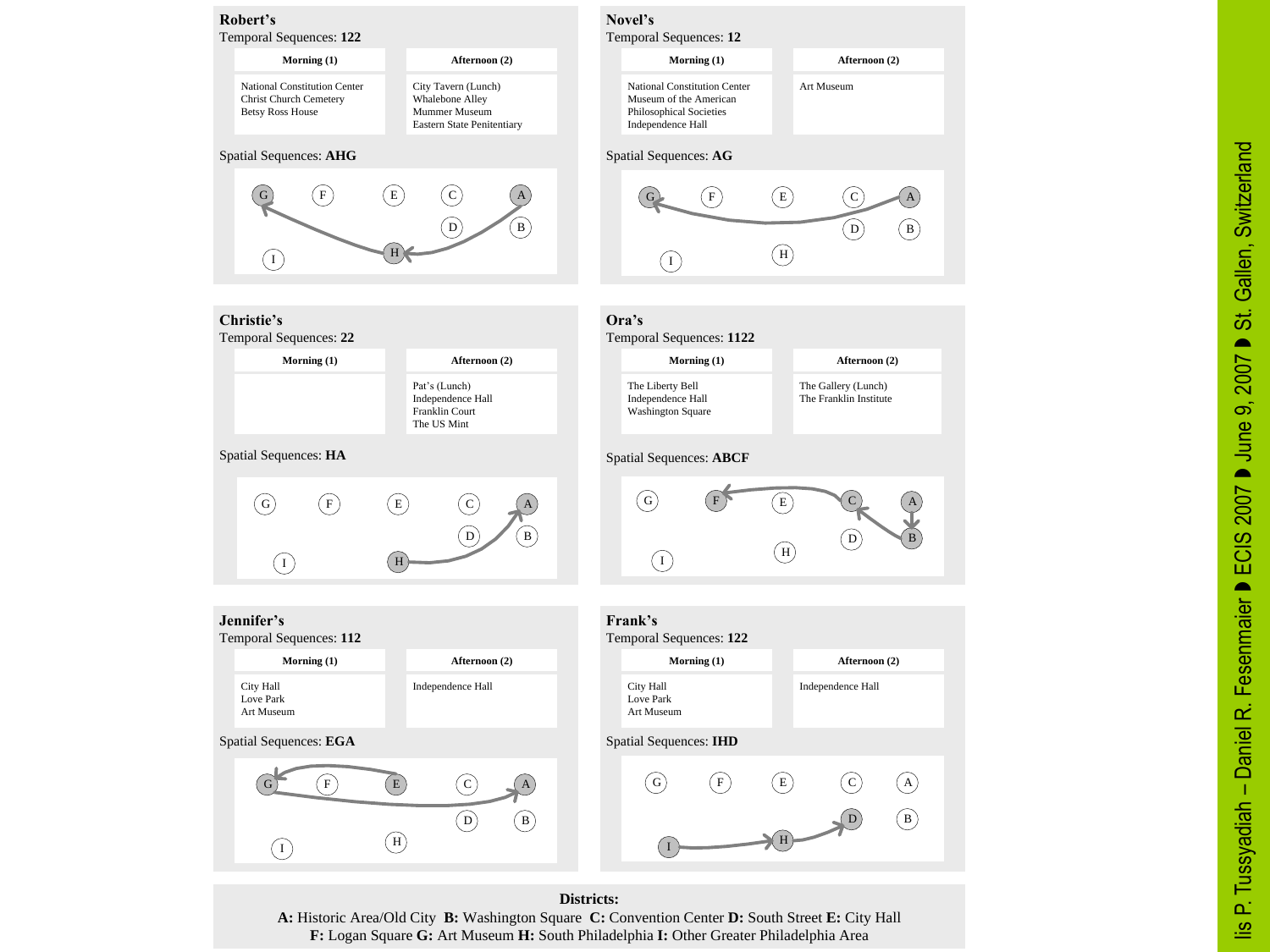

**Districts:** A: Historic Area/Old City B: Washington Square C: Convention Center D: South Street E: City Hall F: Logan Square G: Art Museum H: South Philadelphia I: Other Greater Philadelphia Area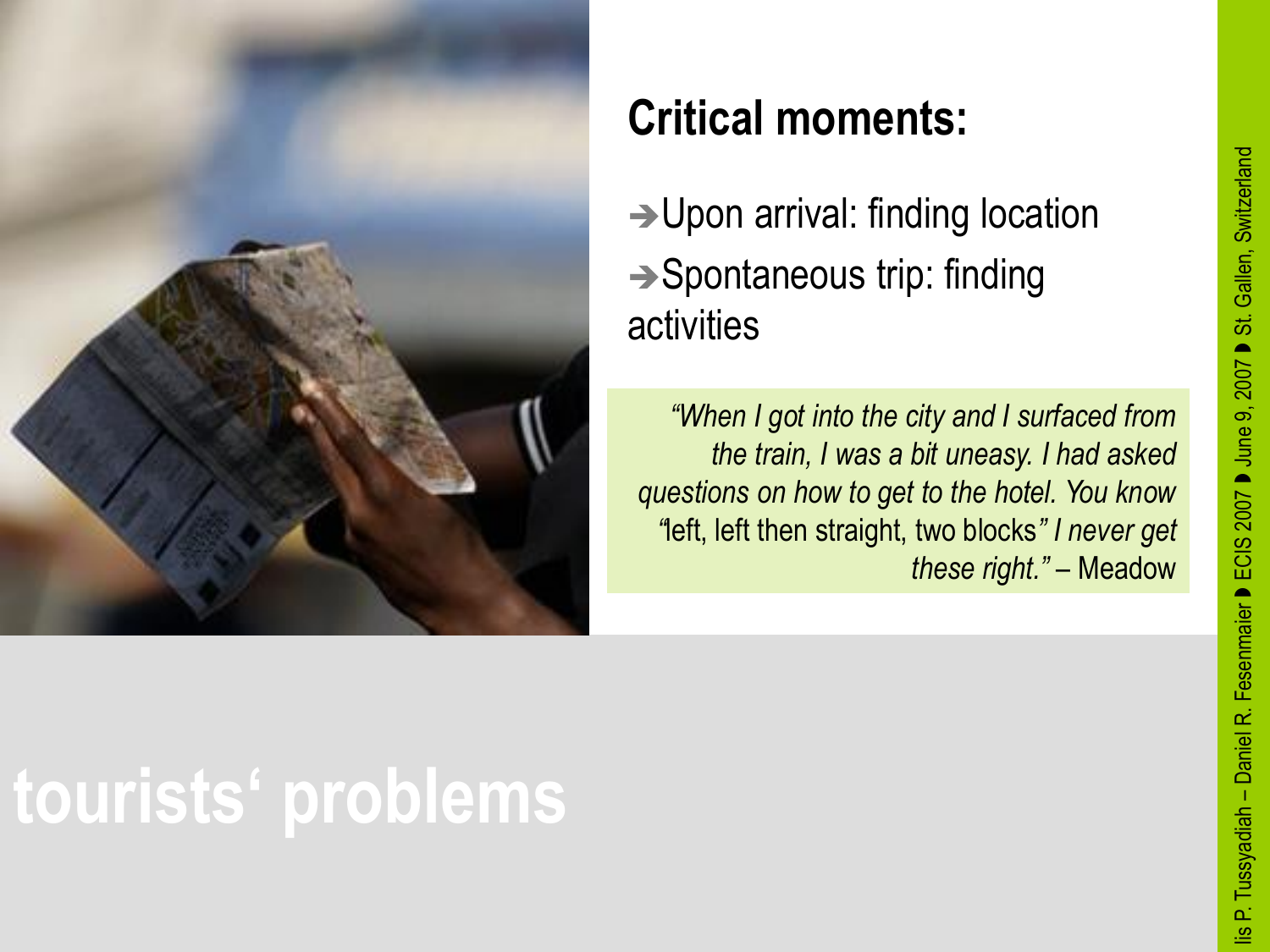



### **Critical moments:**

→ Upon arrival: finding location  $\rightarrow$  Spontaneous trip: finding activities

*"When I got into the city and I surfaced from the train, I was a bit uneasy. I had asked questions on how to get to the hotel. You know "*left, left then straight, two blocks*" I never get these right."* – Meadow

## **tourists' problems**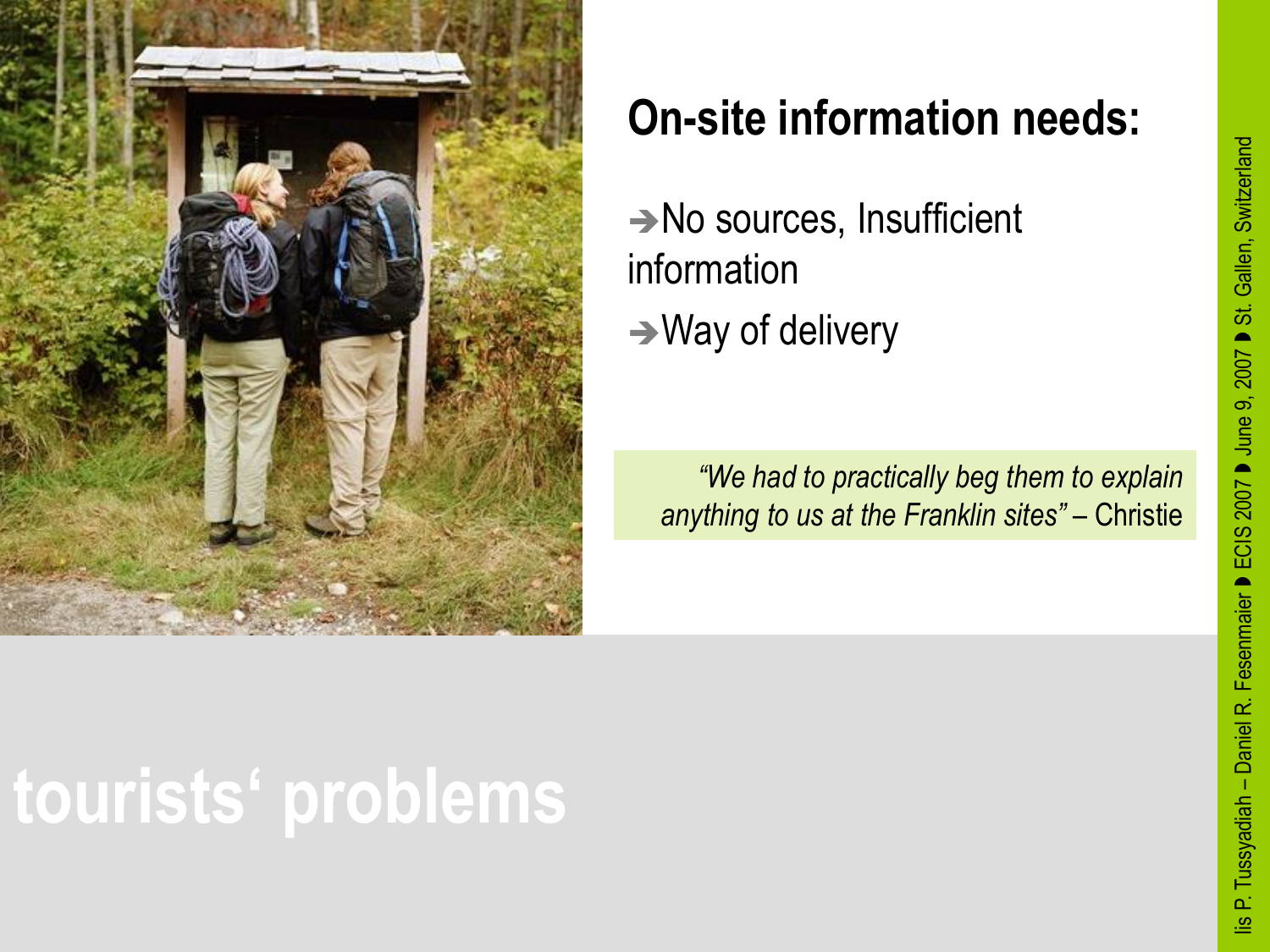

### **On-site information needs:**

No sources, Insufficient information  $\rightarrow$  Way of delivery

*"We had to practically beg them to explain anything to us at the Franklin sites"* – Christie

## **tourists' problems**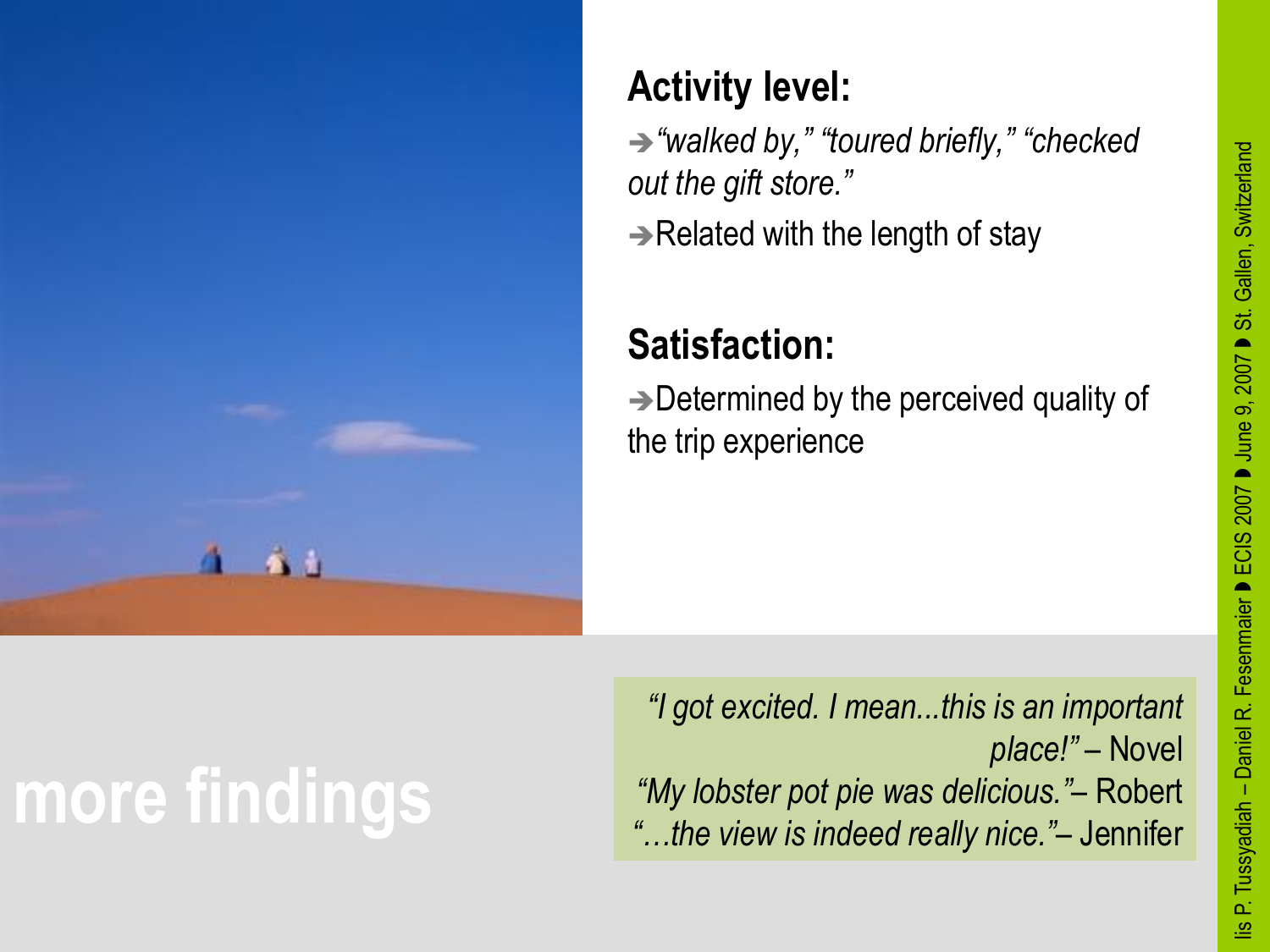

### **Activity level:**

*"walked by," "toured briefly," "checked out the gift store."*  $\rightarrow$ Related with the length of stay

### **Satisfaction:**

 $\rightarrow$  Determined by the perceived quality of the trip experience

# **more findings**

*"I got excited. I mean...this is an important place!"* – Novel *"My lobster pot pie was delicious."–* Robert *"…the view is indeed really nice."*– Jennifer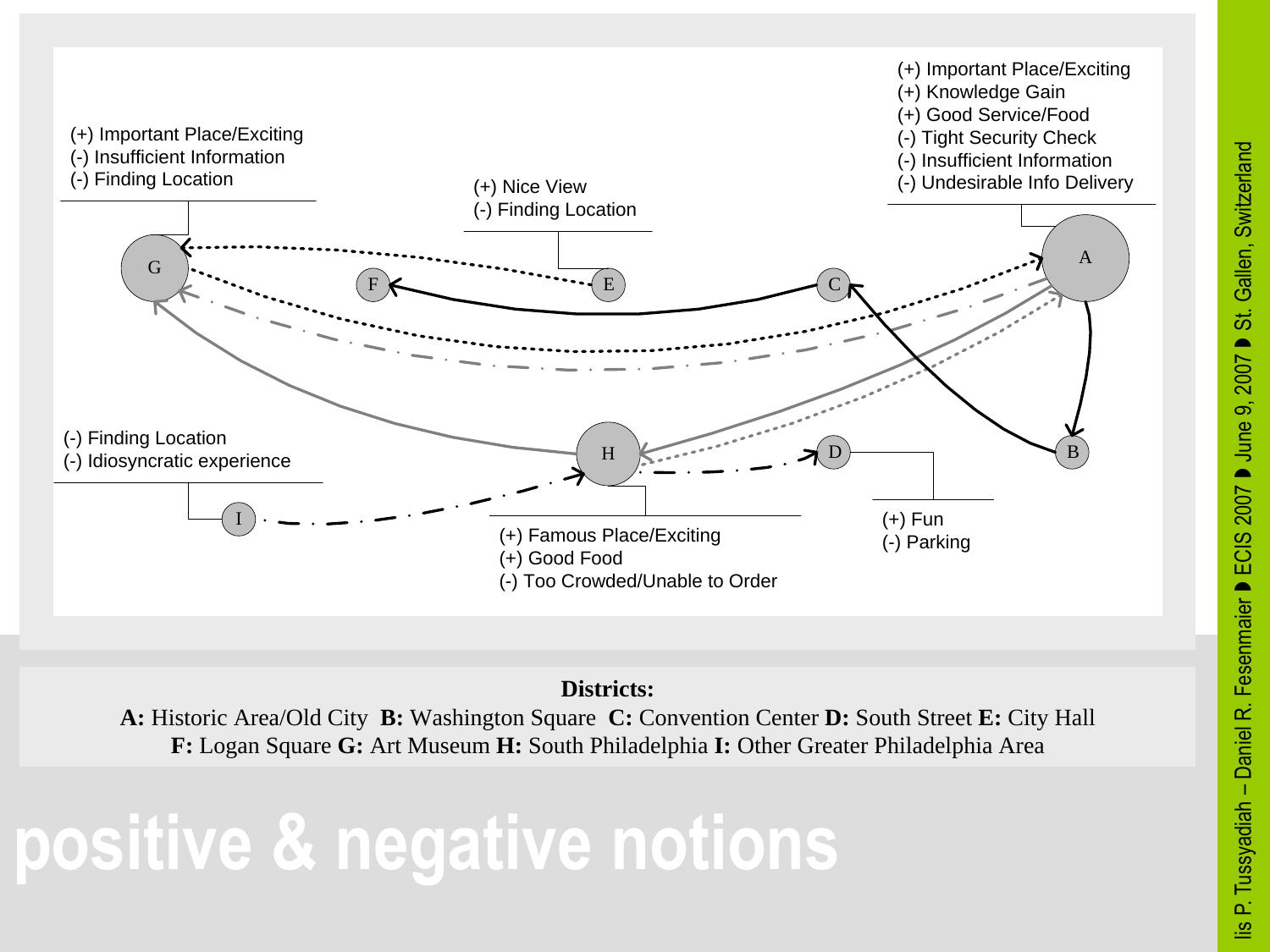



A: Historic Area/Old City B: Washington Square C: Convention Center D: South Street E: City Hall F: Logan Square G: Art Museum H: South Philadelphia I: Other Greater Philadelphia Area

### **positive & negative notions**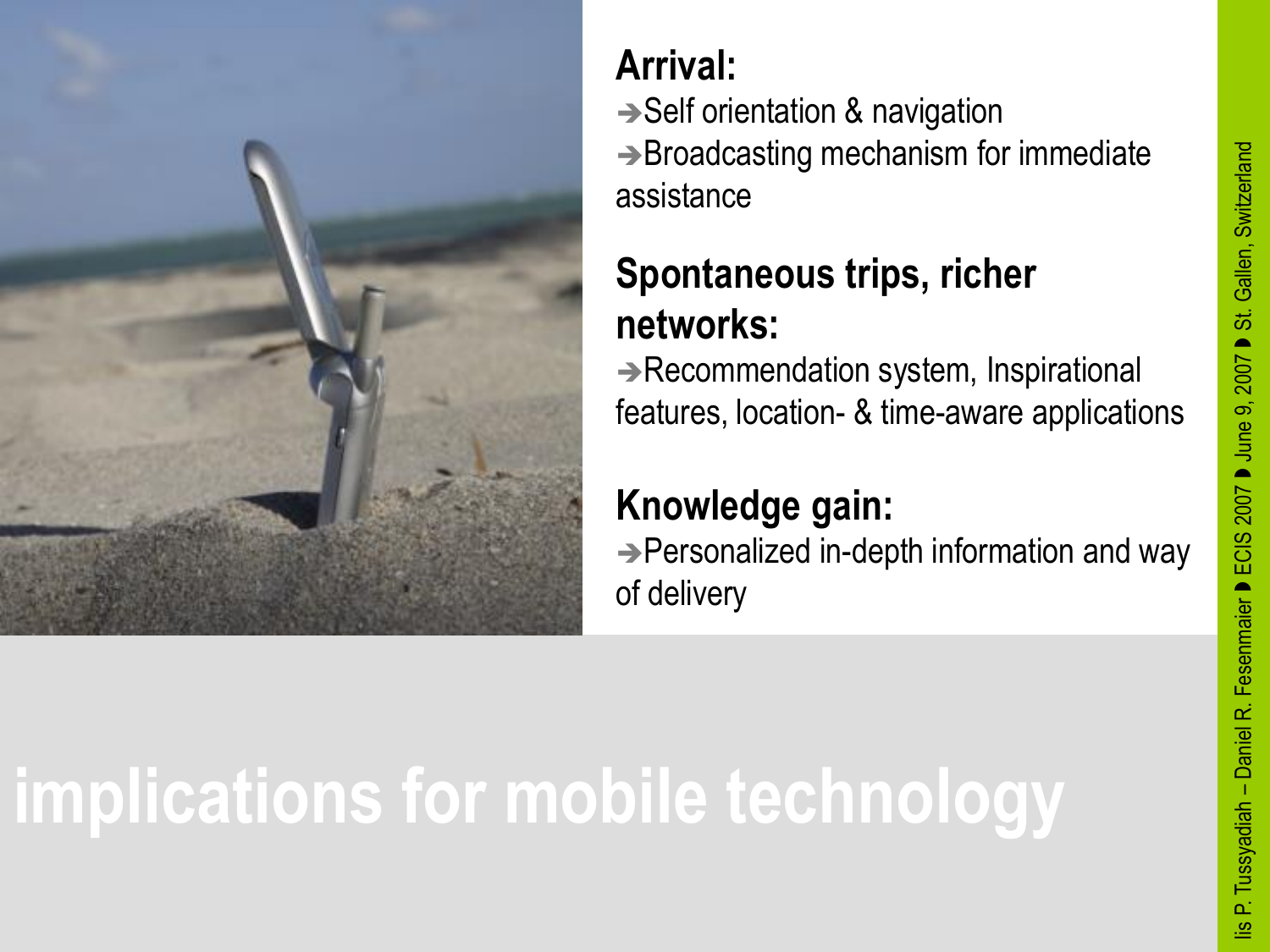



### **Arrival:**

 $\rightarrow$  Self orientation & navigation  $\rightarrow$  Broadcasting mechanism for immediate assistance

### **Spontaneous trips, richer networks:**

 $\rightarrow$  Recommendation system, Inspirational features, location- & time-aware applications

#### **Knowledge gain:**

→ Personalized in-depth information and way of delivery

# **implications for mobile technology**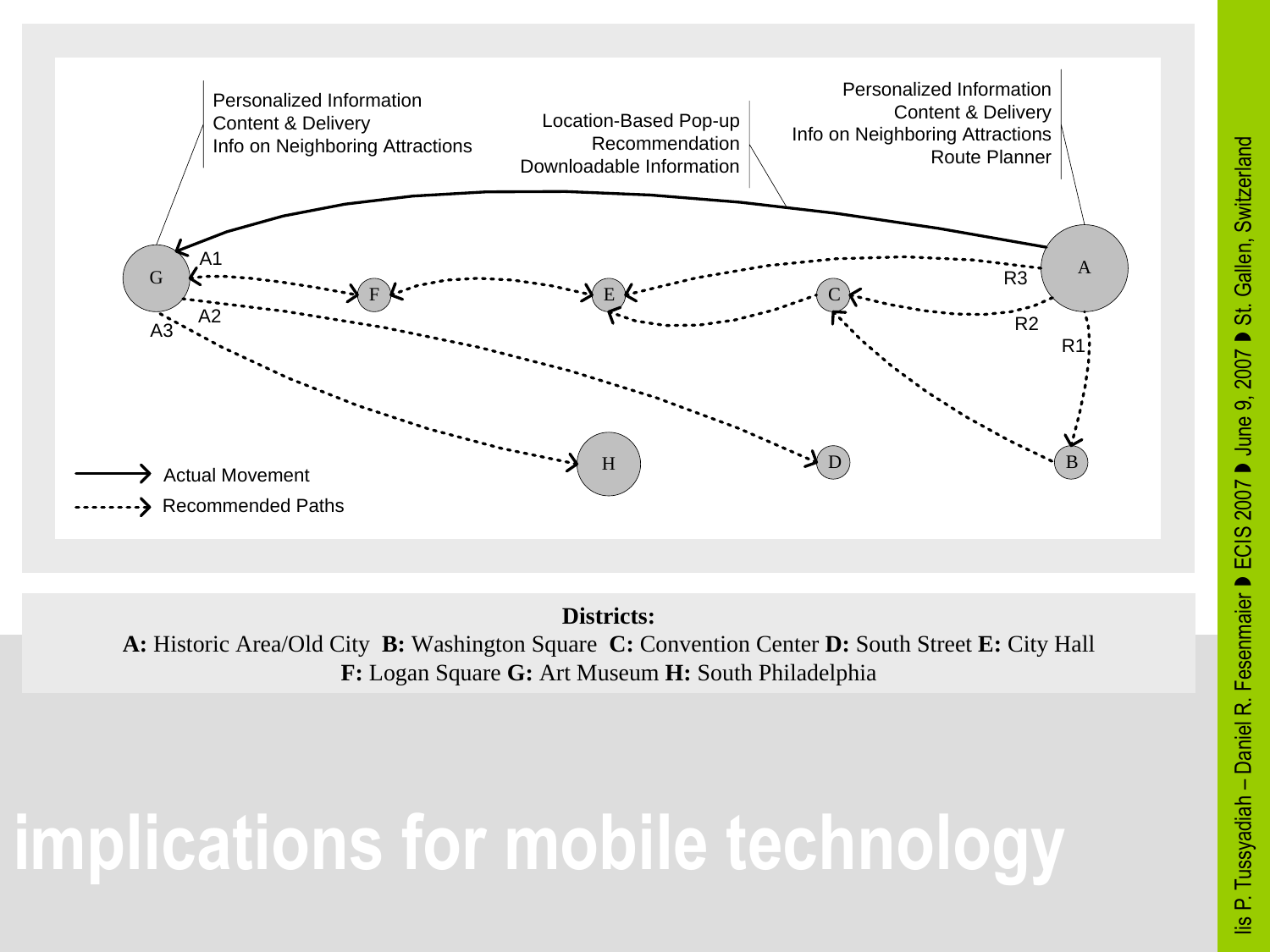

**Districts: A:** Historic Area/Old City **B:** Washington Square **C:** Convention Center **D:** South Street **E:** City Hall **F:** Logan Square **G:** Art Museum **H:** South Philadelphia

## **implications for mobile technology**